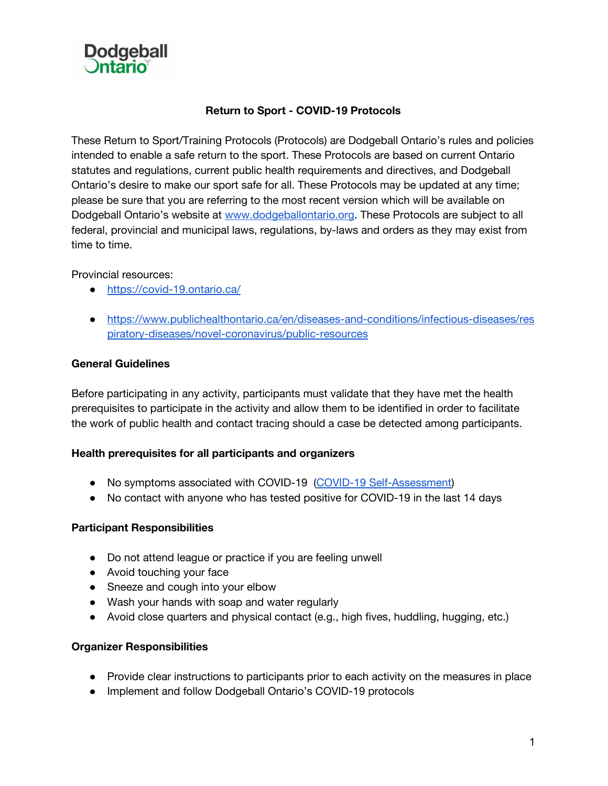

## **Return to Sport - COVID-19 Protocols**

These Return to Sport/Training Protocols (Protocols) are Dodgeball Ontario's rules and policies intended to enable a safe return to the sport. These Protocols are based on current Ontario statutes and regulations, current public health requirements and directives, and Dodgeball Ontario's desire to make our sport safe for all. These Protocols may be updated at any time; please be sure that you are referring to the most recent version which will be available on Dodgeball Ontario's website at [www.dodgeballontario.org.](http://www.dodgeballontario.org/) These Protocols are subject to all federal, provincial and municipal laws, regulations, by-laws and orders as they may exist from time to time.

Provincial resources:

- <https://covid-19.ontario.ca/>
- [https://www.publichealthontario.ca/en/diseases-and-conditions/infectious-diseases/res](https://www.publichealthontario.ca/en/diseases-and-conditions/infectious-diseases/respiratory-diseases/novel-coronavirus/public-resources) [piratory-diseases/novel-coronavirus/public-resources](https://www.publichealthontario.ca/en/diseases-and-conditions/infectious-diseases/respiratory-diseases/novel-coronavirus/public-resources)

### **General Guidelines**

Before participating in any activity, participants must validate that they have met the health prerequisites to participate in the activity and allow them to be identified in order to facilitate the work of public health and contact tracing should a case be detected among participants.

### **Health prerequisites for all participants and organizers**

- No symptoms associated with COVID-19 (COVID-19 [Self-Assessment](https://covid-19.ontario.ca/self-assessment/))
- No contact with anyone who has tested positive for COVID-19 in the last 14 days

### **Participant Responsibilities**

- Do not attend league or practice if you are feeling unwell
- Avoid touching your face
- Sneeze and cough into your elbow
- Wash your hands with soap and water regularly
- Avoid close quarters and physical contact (e.g., high fives, huddling, hugging, etc.)

### **Organizer Responsibilities**

- Provide clear instructions to participants prior to each activity on the measures in place
- Implement and follow Dodgeball Ontario's COVID-19 protocols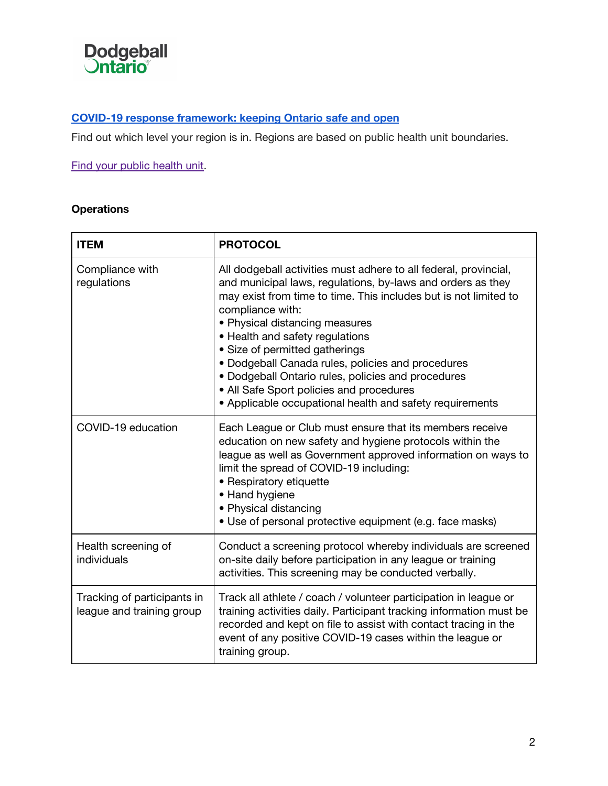

# **COVID-19 response [framework:](https://www.ontario.ca/page/covid-19-response-framework-keeping-ontario-safe-and-open) keeping Ontario safe and open**

Find out which level your region is in. Regions are based on public health unit boundaries.

# Find your public [health](https://www.phdapps.health.gov.on.ca/PHULocator/) unit.

# **Operations**

| <b>ITEM</b>                                              | <b>PROTOCOL</b>                                                                                                                                                                                                                                                                                                                                                                                                                                                                                                                                   |
|----------------------------------------------------------|---------------------------------------------------------------------------------------------------------------------------------------------------------------------------------------------------------------------------------------------------------------------------------------------------------------------------------------------------------------------------------------------------------------------------------------------------------------------------------------------------------------------------------------------------|
| Compliance with<br>regulations                           | All dodgeball activities must adhere to all federal, provincial,<br>and municipal laws, regulations, by-laws and orders as they<br>may exist from time to time. This includes but is not limited to<br>compliance with:<br>• Physical distancing measures<br>• Health and safety regulations<br>• Size of permitted gatherings<br>· Dodgeball Canada rules, policies and procedures<br>• Dodgeball Ontario rules, policies and procedures<br>• All Safe Sport policies and procedures<br>• Applicable occupational health and safety requirements |
| COVID-19 education                                       | Each League or Club must ensure that its members receive<br>education on new safety and hygiene protocols within the<br>league as well as Government approved information on ways to<br>limit the spread of COVID-19 including:<br>• Respiratory etiquette<br>• Hand hygiene<br>• Physical distancing<br>• Use of personal protective equipment (e.g. face masks)                                                                                                                                                                                 |
| Health screening of<br>individuals                       | Conduct a screening protocol whereby individuals are screened<br>on-site daily before participation in any league or training<br>activities. This screening may be conducted verbally.                                                                                                                                                                                                                                                                                                                                                            |
| Tracking of participants in<br>league and training group | Track all athlete / coach / volunteer participation in league or<br>training activities daily. Participant tracking information must be<br>recorded and kept on file to assist with contact tracing in the<br>event of any positive COVID-19 cases within the league or<br>training group.                                                                                                                                                                                                                                                        |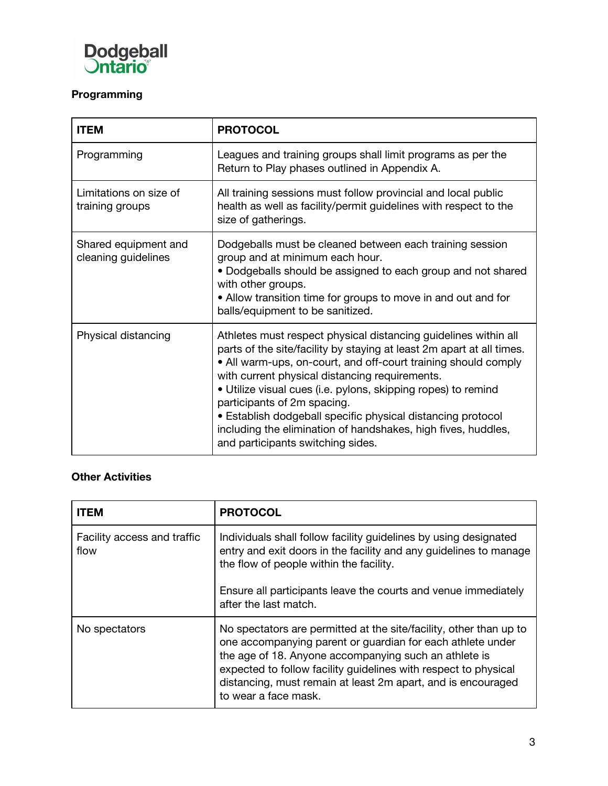

# **Programming**

| <b>ITEM</b>                                 | <b>PROTOCOL</b>                                                                                                                                                                                                                                                                                                                                                                                                                                                                                                                   |
|---------------------------------------------|-----------------------------------------------------------------------------------------------------------------------------------------------------------------------------------------------------------------------------------------------------------------------------------------------------------------------------------------------------------------------------------------------------------------------------------------------------------------------------------------------------------------------------------|
| Programming                                 | Leagues and training groups shall limit programs as per the<br>Return to Play phases outlined in Appendix A.                                                                                                                                                                                                                                                                                                                                                                                                                      |
| Limitations on size of<br>training groups   | All training sessions must follow provincial and local public<br>health as well as facility/permit guidelines with respect to the<br>size of gatherings.                                                                                                                                                                                                                                                                                                                                                                          |
| Shared equipment and<br>cleaning guidelines | Dodgeballs must be cleaned between each training session<br>group and at minimum each hour.<br>• Dodgeballs should be assigned to each group and not shared<br>with other groups.<br>• Allow transition time for groups to move in and out and for<br>balls/equipment to be sanitized.                                                                                                                                                                                                                                            |
| Physical distancing                         | Athletes must respect physical distancing guidelines within all<br>parts of the site/facility by staying at least 2m apart at all times.<br>• All warm-ups, on-court, and off-court training should comply<br>with current physical distancing requirements.<br>• Utilize visual cues (i.e. pylons, skipping ropes) to remind<br>participants of 2m spacing.<br>• Establish dodgeball specific physical distancing protocol<br>including the elimination of handshakes, high fives, huddles,<br>and participants switching sides. |

# **Other Activities**

| <b>ITEM</b>                         | <b>PROTOCOL</b>                                                                                                                                                                                                                                                                                                                                      |
|-------------------------------------|------------------------------------------------------------------------------------------------------------------------------------------------------------------------------------------------------------------------------------------------------------------------------------------------------------------------------------------------------|
| Facility access and traffic<br>flow | Individuals shall follow facility guidelines by using designated<br>entry and exit doors in the facility and any guidelines to manage<br>the flow of people within the facility.                                                                                                                                                                     |
|                                     | Ensure all participants leave the courts and venue immediately<br>after the last match.                                                                                                                                                                                                                                                              |
| No spectators                       | No spectators are permitted at the site/facility, other than up to<br>one accompanying parent or guardian for each athlete under<br>the age of 18. Anyone accompanying such an athlete is<br>expected to follow facility guidelines with respect to physical<br>distancing, must remain at least 2m apart, and is encouraged<br>to wear a face mask. |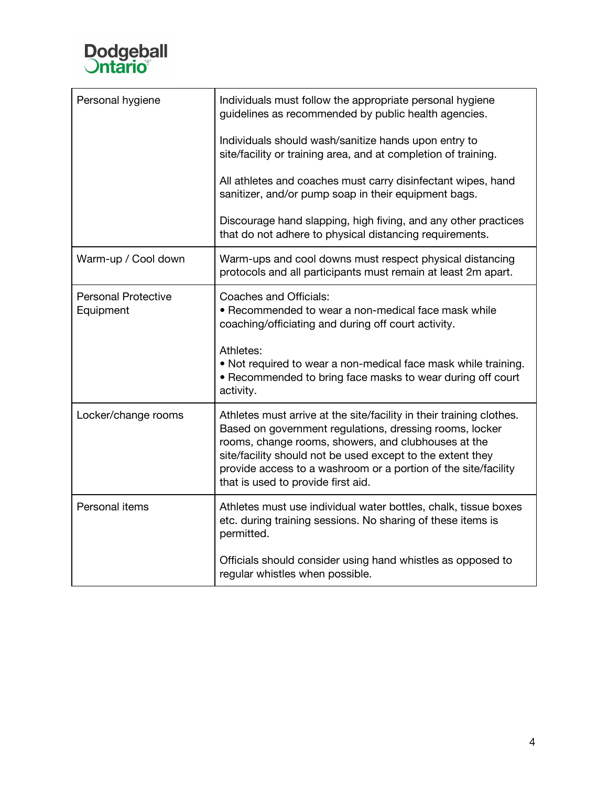

| Personal hygiene                        | Individuals must follow the appropriate personal hygiene<br>guidelines as recommended by public health agencies.                                                                                                                                                                                                                                             |
|-----------------------------------------|--------------------------------------------------------------------------------------------------------------------------------------------------------------------------------------------------------------------------------------------------------------------------------------------------------------------------------------------------------------|
|                                         | Individuals should wash/sanitize hands upon entry to<br>site/facility or training area, and at completion of training.                                                                                                                                                                                                                                       |
|                                         | All athletes and coaches must carry disinfectant wipes, hand<br>sanitizer, and/or pump soap in their equipment bags.                                                                                                                                                                                                                                         |
|                                         | Discourage hand slapping, high fiving, and any other practices<br>that do not adhere to physical distancing requirements.                                                                                                                                                                                                                                    |
| Warm-up / Cool down                     | Warm-ups and cool downs must respect physical distancing<br>protocols and all participants must remain at least 2m apart.                                                                                                                                                                                                                                    |
| <b>Personal Protective</b><br>Equipment | Coaches and Officials:<br>• Recommended to wear a non-medical face mask while<br>coaching/officiating and during off court activity.                                                                                                                                                                                                                         |
|                                         | Athletes:<br>• Not required to wear a non-medical face mask while training.<br>• Recommended to bring face masks to wear during off court<br>activity.                                                                                                                                                                                                       |
| Locker/change rooms                     | Athletes must arrive at the site/facility in their training clothes.<br>Based on government regulations, dressing rooms, locker<br>rooms, change rooms, showers, and clubhouses at the<br>site/facility should not be used except to the extent they<br>provide access to a washroom or a portion of the site/facility<br>that is used to provide first aid. |
| Personal items                          | Athletes must use individual water bottles, chalk, tissue boxes<br>etc. during training sessions. No sharing of these items is<br>permitted.                                                                                                                                                                                                                 |
|                                         | Officials should consider using hand whistles as opposed to<br>regular whistles when possible.                                                                                                                                                                                                                                                               |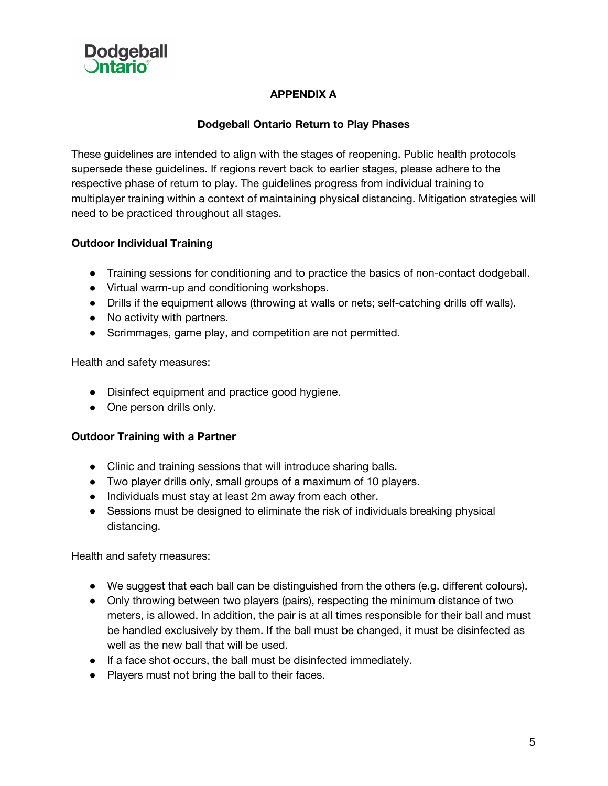

# **APPENDIX A**

## **Dodgeball Ontario Return to Play Phases**

These guidelines are intended to align with the stages of reopening. Public health protocols supersede these guidelines. If regions revert back to earlier stages, please adhere to the respective phase of return to play. The guidelines progress from individual training to multiplayer training within a context of maintaining physical distancing. Mitigation strategies will need to be practiced throughout all stages.

## **Outdoor Individual Training**

- Training sessions for conditioning and to practice the basics of non-contact dodgeball.
- Virtual warm-up and conditioning workshops.
- Drills if the equipment allows (throwing at walls or nets; self-catching drills off walls).
- No activity with partners.
- Scrimmages, game play, and competition are not permitted.

Health and safety measures:

- Disinfect equipment and practice good hygiene.
- One person drills only.

### **Outdoor Training with a Partner**

- Clinic and training sessions that will introduce sharing balls.
- Two player drills only, small groups of a maximum of 10 players.
- Individuals must stay at least 2m away from each other.
- Sessions must be designed to eliminate the risk of individuals breaking physical distancing.

Health and safety measures:

- We suggest that each ball can be distinguished from the others (e.g. different colours).
- Only throwing between two players (pairs), respecting the minimum distance of two meters, is allowed. In addition, the pair is at all times responsible for their ball and must be handled exclusively by them. If the ball must be changed, it must be disinfected as well as the new ball that will be used.
- If a face shot occurs, the ball must be disinfected immediately.
- Players must not bring the ball to their faces.